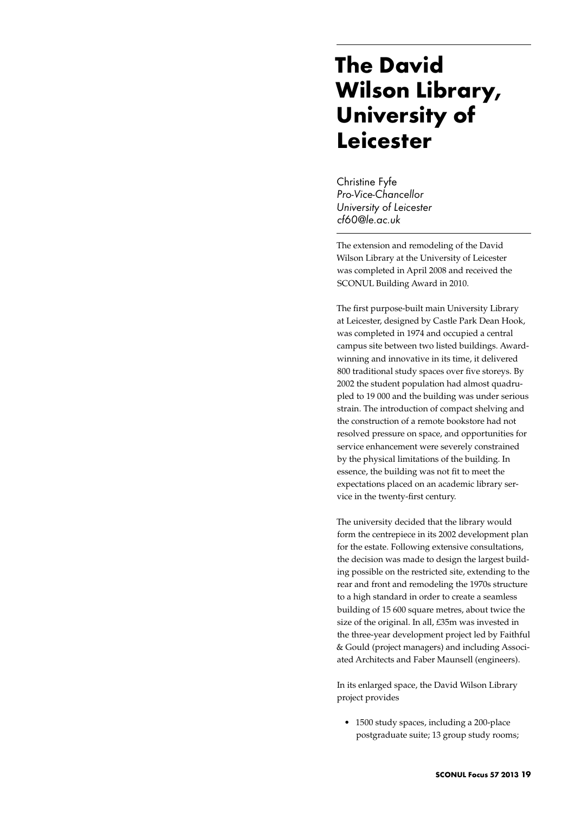## **The David Wilson Library, University of Leicester**

Christine Fyfe *Pro-Vice-Chancellor University of Leicester cf60@le.ac.uk*

The extension and remodeling of the David Wilson Library at the University of Leicester was completed in April 2008 and received the SCONUL Building Award in 2010.

The first purpose-built main University Library at Leicester, designed by Castle Park Dean Hook, was completed in 1974 and occupied a central campus site between two listed buildings. Awardwinning and innovative in its time, it delivered 800 traditional study spaces over five storeys. By 2002 the student population had almost quadrupled to 19 000 and the building was under serious strain. The introduction of compact shelving and the construction of a remote bookstore had not resolved pressure on space, and opportunities for service enhancement were severely constrained by the physical limitations of the building. In essence, the building was not fit to meet the expectations placed on an academic library service in the twenty-first century.

The university decided that the library would form the centrepiece in its 2002 development plan for the estate. Following extensive consultations, the decision was made to design the largest building possible on the restricted site, extending to the rear and front and remodeling the 1970s structure to a high standard in order to create a seamless building of 15 600 square metres, about twice the size of the original. In all, £35m was invested in the three-year development project led by Faithful & Gould (project managers) and including Associated Architects and Faber Maunsell (engineers).

In its enlarged space, the David Wilson Library project provides

• 1500 study spaces, including a 200-place postgraduate suite; 13 group study rooms;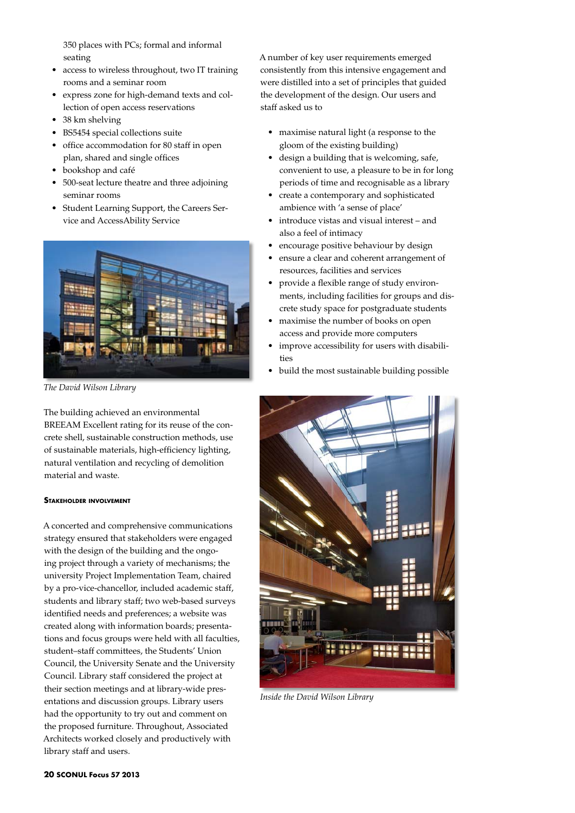350 places with PCs; formal and informal seating

- access to wireless throughout, two IT training rooms and a seminar room
- • express zone for high-demand texts and collection of open access reservations
- 38 km shelving
- • BS5454 special collections suite
- office accommodation for 80 staff in open plan, shared and single offices
- bookshop and café
- • 500-seat lecture theatre and three adjoining seminar rooms
- • Student Learning Support, the Careers Service and AccessAbility Service



*The David Wilson Library*

The building achieved an environmental BREEAM Excellent rating for its reuse of the concrete shell, sustainable construction methods, use of sustainable materials, high-efficiency lighting, natural ventilation and recycling of demolition material and waste.

## **Stakeholder involvement**

A concerted and comprehensive communications strategy ensured that stakeholders were engaged with the design of the building and the ongoing project through a variety of mechanisms; the university Project Implementation Team, chaired by a pro-vice-chancellor, included academic staff, students and library staff; two web-based surveys identified needs and preferences; a website was created along with information boards; presentations and focus groups were held with all faculties, student–staff committees, the Students' Union Council, the University Senate and the University Council. Library staff considered the project at their section meetings and at library-wide presentations and discussion groups. Library users had the opportunity to try out and comment on the proposed furniture. Throughout, Associated Architects worked closely and productively with library staff and users.

A number of key user requirements emerged consistently from this intensive engagement and were distilled into a set of principles that guided the development of the design. Our users and staff asked us to

- • maximise natural light (a response to the gloom of the existing building)
- • design a building that is welcoming, safe, convenient to use, a pleasure to be in for long periods of time and recognisable as a library
- create a contemporary and sophisticated ambience with 'a sense of place'
- introduce vistas and visual interest and also a feel of intimacy
- encourage positive behaviour by design
- • ensure a clear and coherent arrangement of resources, facilities and services
- provide a flexible range of study environments, including facilities for groups and discrete study space for postgraduate students
- maximise the number of books on open access and provide more computers
- improve accessibility for users with disabilities
- • build the most sustainable building possible



*Inside the David Wilson Library*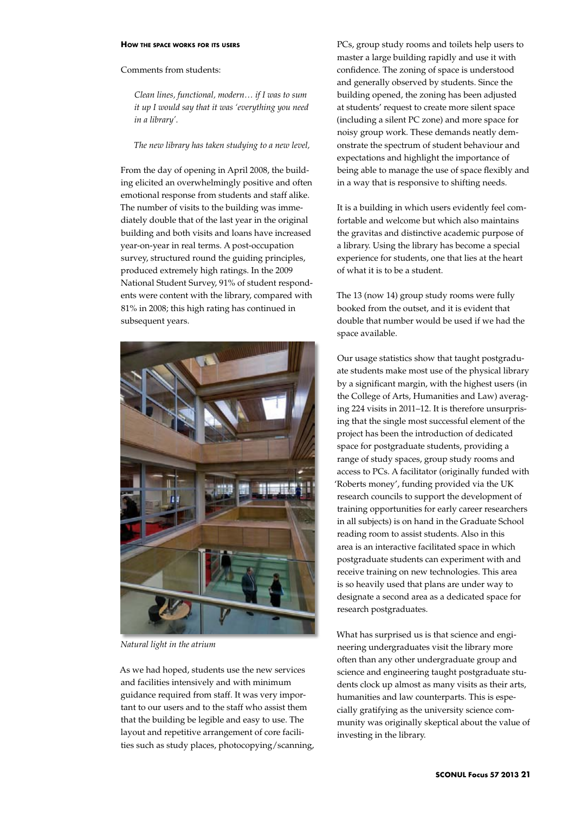## **How the space works for its users**

## Comments from students:

*Clean lines, functional, modern… if I was to sum it up I would say that it was 'everything you need in a library'.* 

*The new library has taken studying to a new level,* 

From the day of opening in April 2008, the building elicited an overwhelmingly positive and often emotional response from students and staff alike. The number of visits to the building was immediately double that of the last year in the original building and both visits and loans have increased year-on-year in real terms. A post-occupation survey, structured round the guiding principles, produced extremely high ratings. In the 2009 National Student Survey, 91% of student respondents were content with the library, compared with 81% in 2008; this high rating has continued in subsequent years.



*Natural light in the atrium*

As we had hoped, students use the new services and facilities intensively and with minimum guidance required from staff. It was very important to our users and to the staff who assist them that the building be legible and easy to use. The layout and repetitive arrangement of core facilities such as study places, photocopying/scanning, PCs, group study rooms and toilets help users to master a large building rapidly and use it with confidence. The zoning of space is understood and generally observed by students. Since the building opened, the zoning has been adjusted at students' request to create more silent space (including a silent PC zone) and more space for noisy group work. These demands neatly demonstrate the spectrum of student behaviour and expectations and highlight the importance of being able to manage the use of space flexibly and in a way that is responsive to shifting needs.

It is a building in which users evidently feel comfortable and welcome but which also maintains the gravitas and distinctive academic purpose of a library. Using the library has become a special experience for students, one that lies at the heart of what it is to be a student.

The 13 (now 14) group study rooms were fully booked from the outset, and it is evident that double that number would be used if we had the space available.

Our usage statistics show that taught postgraduate students make most use of the physical library by a significant margin, with the highest users (in the College of Arts, Humanities and Law) averaging 224 visits in 2011–12. It is therefore unsurprising that the single most successful element of the project has been the introduction of dedicated space for postgraduate students, providing a range of study spaces, group study rooms and access to PCs. A facilitator (originally funded with 'Roberts money', funding provided via the UK research councils to support the development of training opportunities for early career researchers in all subjects) is on hand in the Graduate School reading room to assist students. Also in this area is an interactive facilitated space in which postgraduate students can experiment with and receive training on new technologies. This area is so heavily used that plans are under way to designate a second area as a dedicated space for research postgraduates.

What has surprised us is that science and engineering undergraduates visit the library more often than any other undergraduate group and science and engineering taught postgraduate students clock up almost as many visits as their arts, humanities and law counterparts. This is especially gratifying as the university science community was originally skeptical about the value of investing in the library.